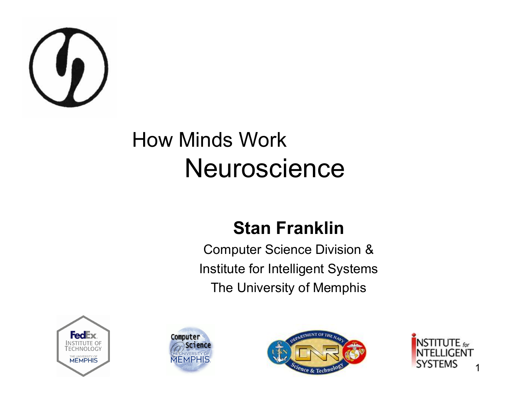

#### How Minds Work **Neuroscience**

#### **Stan Franklin**

Computer Science Division & Institute for Intelligent Systems The University of Memphis







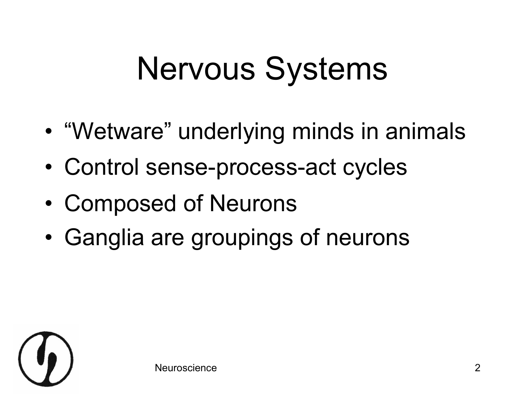# Nervous Systems

- "Wetware" underlying minds in animals
- Control sense-process-act cycles
- Composed of Neurons
- Ganglia are groupings of neurons

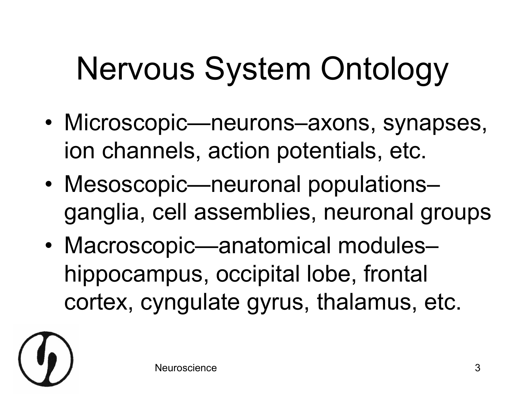# Nervous System Ontology

- Microscopic—neurons–axons, synapses, ion channels, action potentials, etc.
- Mesoscopic—neuronal populations– ganglia, cell assemblies, neuronal groups
- Macroscopic—anatomical modules– hippocampus, occipital lobe, frontal cortex, cyngulate gyrus, thalamus, etc.

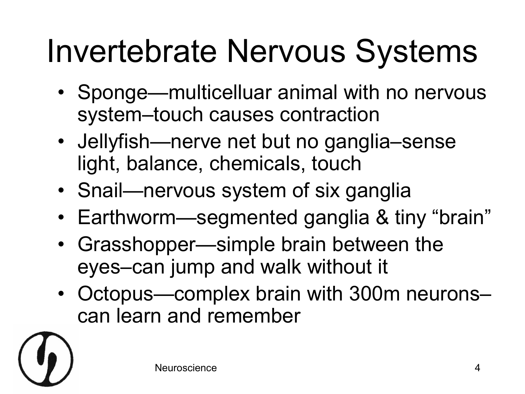### Invertebrate Nervous Systems

- Sponge—multicelluar animal with no nervous system–touch causes contraction
- Jellyfish—nerve net but no ganglia–sense light, balance, chemicals, touch
- Snail—nervous system of six ganglia
- Earthworm—segmented ganglia & tiny "brain"
- Grasshopper—simple brain between the eyes–can jump and walk without it
- Octopus—complex brain with 300m neurons– can learn and remember

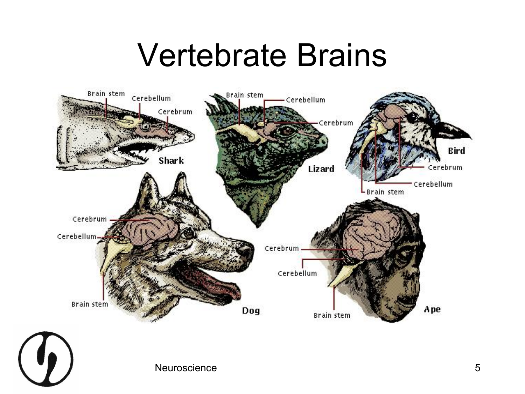#### Vertebrate Brains



Neuroscience 5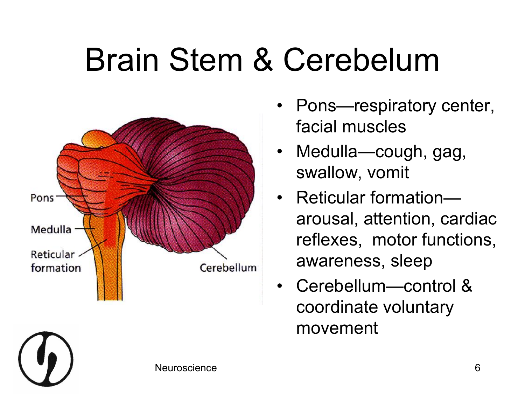#### Brain Stem & Cerebelum



- Pons-respiratory center, facial muscles
- Medulla—cough, gag, swallow, vomit
- Reticular formationarousal, attention, cardiac reflexes, motor functions, awareness, sleep
- Cerebellum—control & coordinate voluntary movement

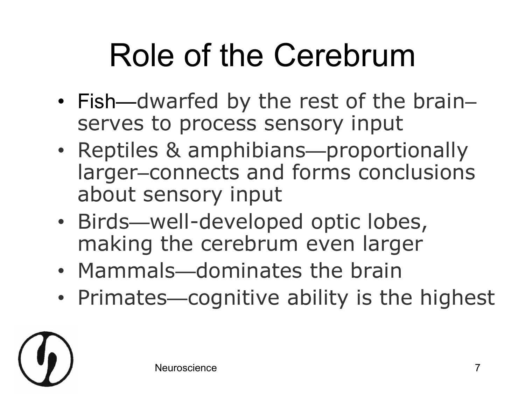### Role of the Cerebrum

- Fish—dwarfed by the rest of the brain– serves to process sensory input
- Reptiles & amphibians—proportionally larger–connects and forms conclusions about sensory input
- Birds—well-developed optic lobes, making the cerebrum even larger
- Mammals—dominates the brain
- Primates—cognitive ability is the highest

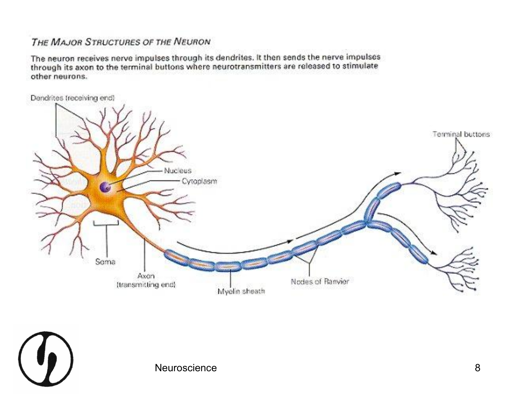#### THE MAJOR STRUCTURES OF THE NEURON

The neuron receives nerve impulses through its dendrites. It then sends the nerve impulses through its axon to the terminal buttons where neurotransmitters are released to stimulate other neurons.

Dendrites (receiving end)



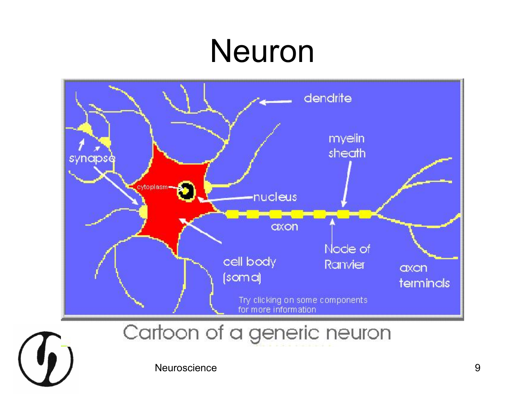#### Neuron



Cartoon of a generic neuron



Neuroscience 9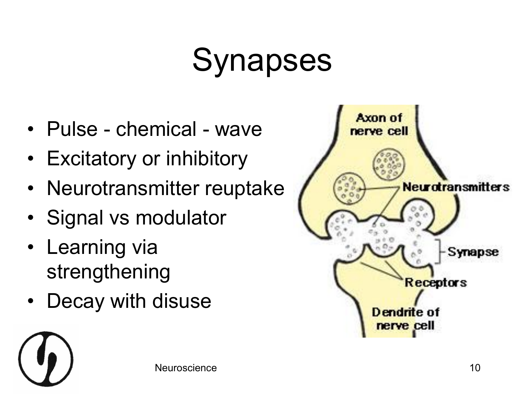### Synapses

- Pulse chemical wave
- Excitatory or inhibitory
- Neurotransmitter reuptake
- Signal vs modulator
- Learning via strengthening
- Decay with disuse



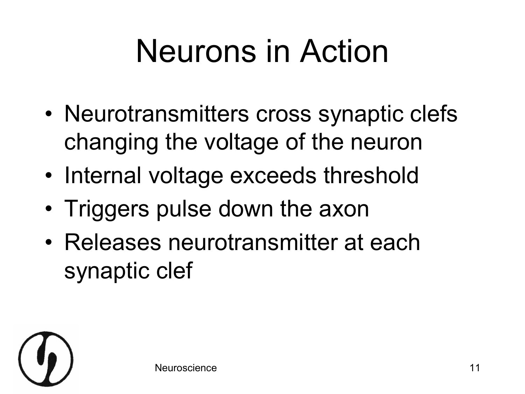# Neurons in Action

- Neurotransmitters cross synaptic clefs changing the voltage of the neuron
- Internal voltage exceeds threshold
- Triggers pulse down the axon
- Releases neurotransmitter at each synaptic clef

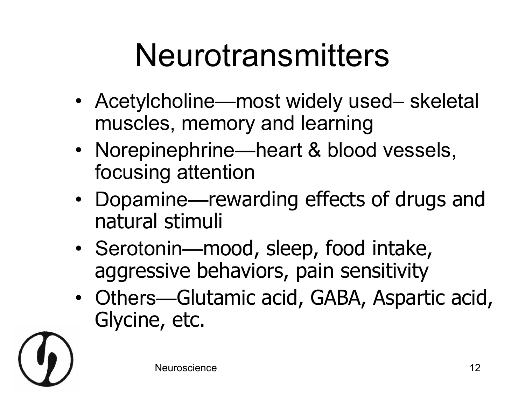#### Neurotransmitters

- Acetylcholine—most widely used– skeletal muscles, memory and learning
- Norepinephrine—heart & blood vessels, focusing attention
- Dopamine—rewarding effects of drugs and natural stimuli
- Serotonin—mood, sleep, food intake, aggressive behaviors, pain sensitivity
- Others—Glutamic acid, GABA, Aspartic acid, Glycine, etc.

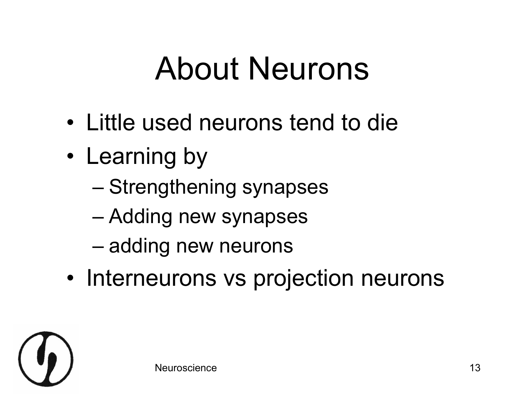#### About Neurons

- Little used neurons tend to die
- Learning by
	- Strengthening synapses
	- Adding new synapses
	- adding new neurons
- Interneurons vs projection neurons

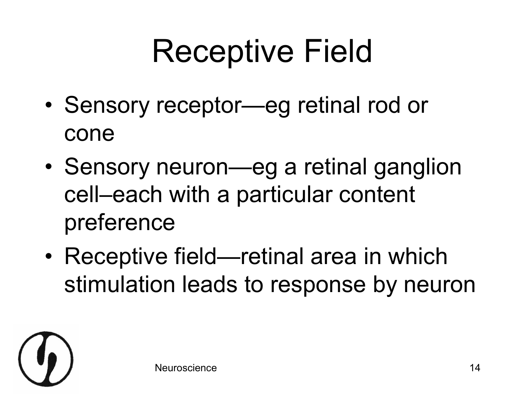# Receptive Field

- Sensory receptor—eg retinal rod or cone
- Sensory neuron—eg a retinal ganglion cell–each with a particular content preference
- Receptive field—retinal area in which stimulation leads to response by neuron

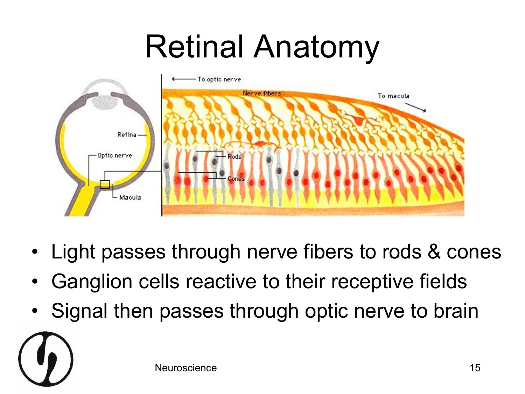#### Retinal Anatomy



- Light passes through nerve fibers to rods & cones
- Ganglion cells reactive to their receptive fields
- Signal then passes through optic nerve to brain

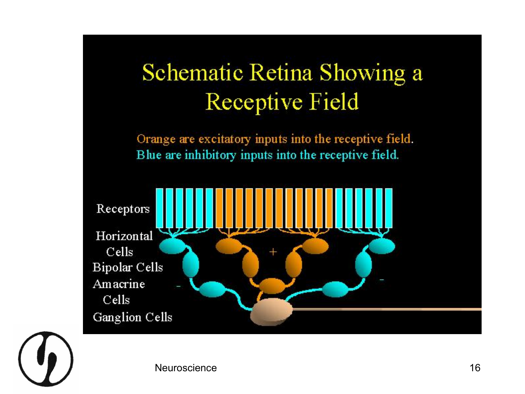#### Schematic Retina Showing a Receptive Field

Orange are excitatory inputs into the receptive field. Blue are inhibitory inputs into the receptive field.



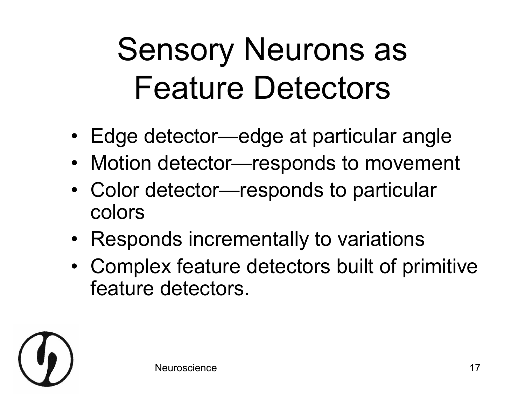#### Sensory Neurons as Feature Detectors

- Edge detector—edge at particular angle
- Motion detector—responds to movement
- Color detector—responds to particular colors
- Responds incrementally to variations
- Complex feature detectors built of primitive feature detectors.

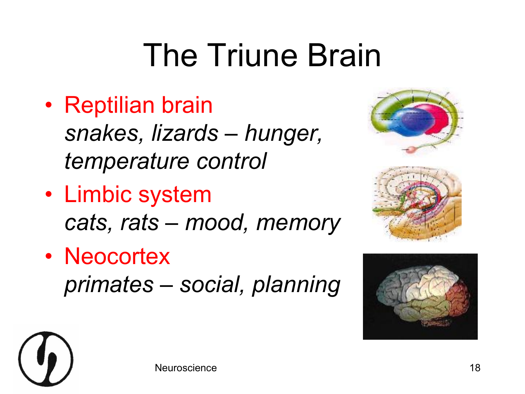### The Triune Brain

- Reptilian brain *snakes, lizards – hunger, temperature control*
- Limbic system *cats, rats – mood, memory*
- Neocortex *primates – social, planning*





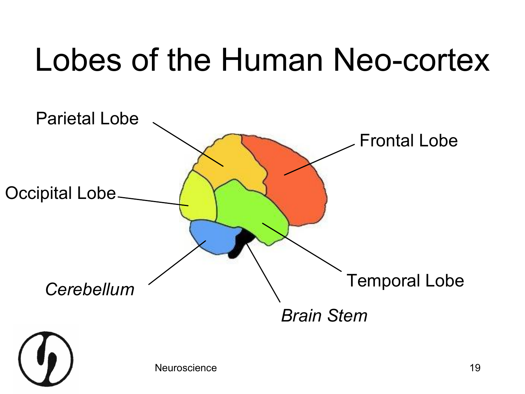#### Lobes of the Human Neo-cortex

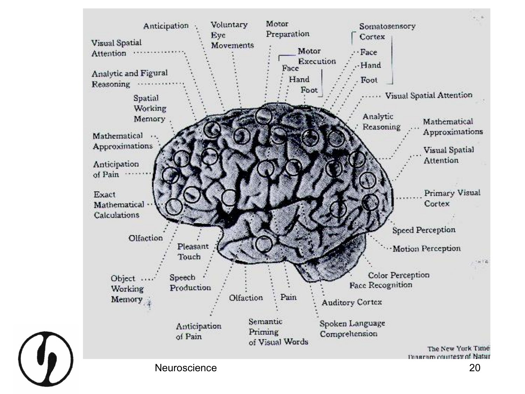

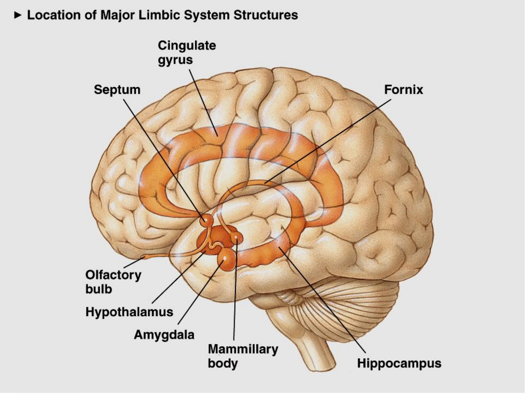► Location of Major Limbic System Structures

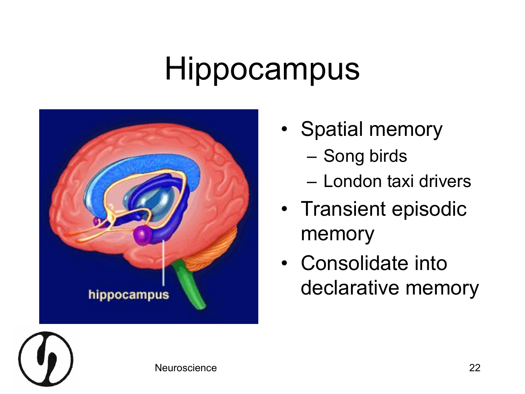#### Hippocampus



- Spatial memory
	- Song birds
	- London taxi drivers
- Transient episodic memory
- Consolidate into declarative memory

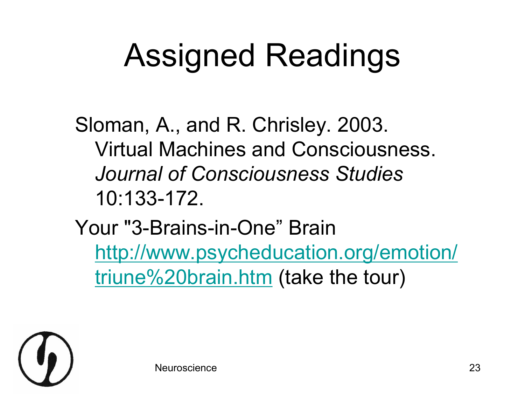#### Assigned Readings

Sloman, A., and R. Chrisley. 2003. Virtual Machines and Consciousness. *Journal of Consciousness Studies* 10:133-172.

Your "3-Brains-in-One" Brain [http://www.psycheducation.org/emotion/](http://www.psycheducation.org/emotion/triune brain.htm) triune%20brain.htm (take the tour)